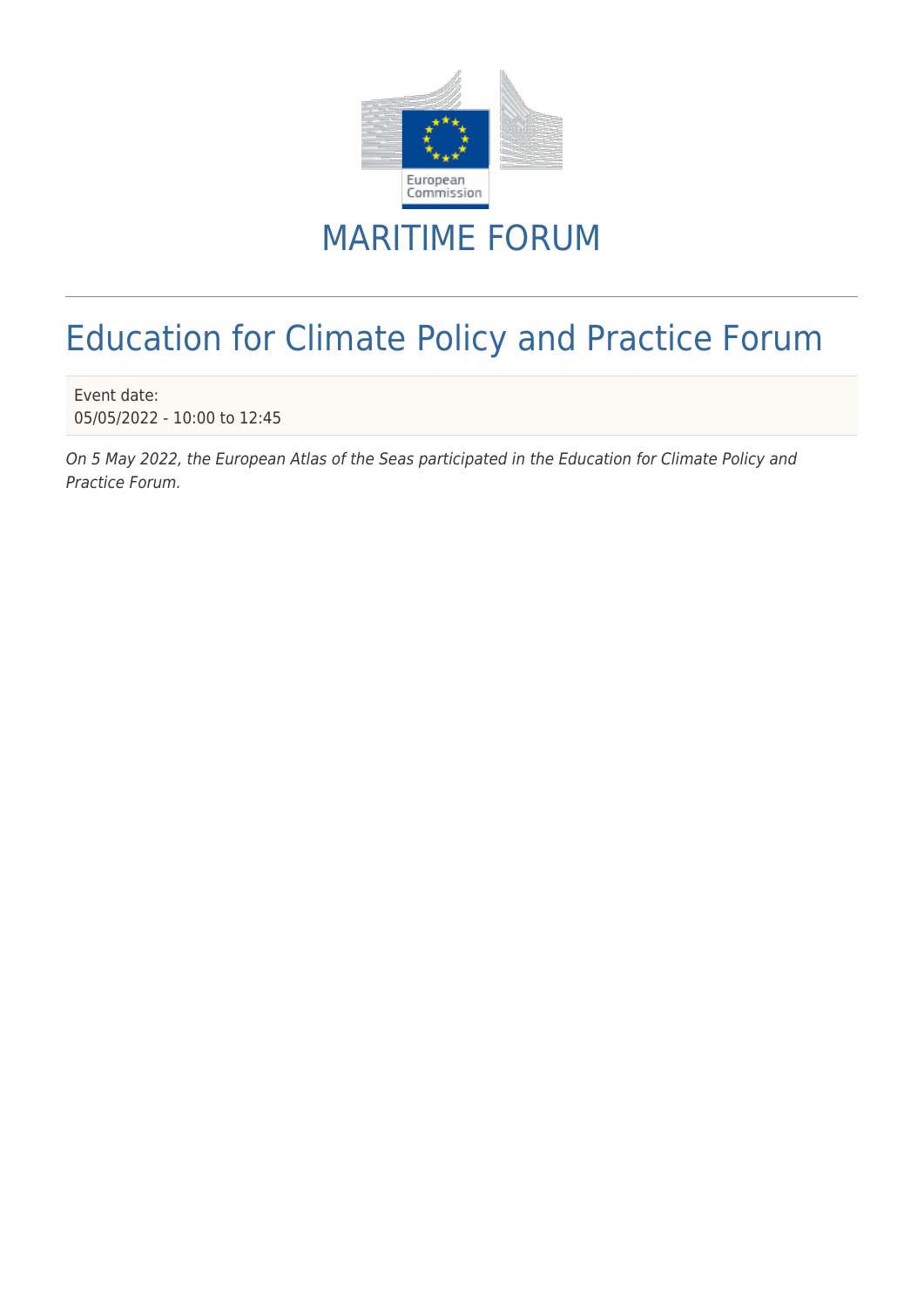

## MARITIME FORUM

## Education for Climate Policy and Practice Forum

Event date: 05/05/2022 - 10:00 to 12:45

On 5 May 2022, the European Atlas of the Seas participated in the Education for Climate Policy and Practice Forum.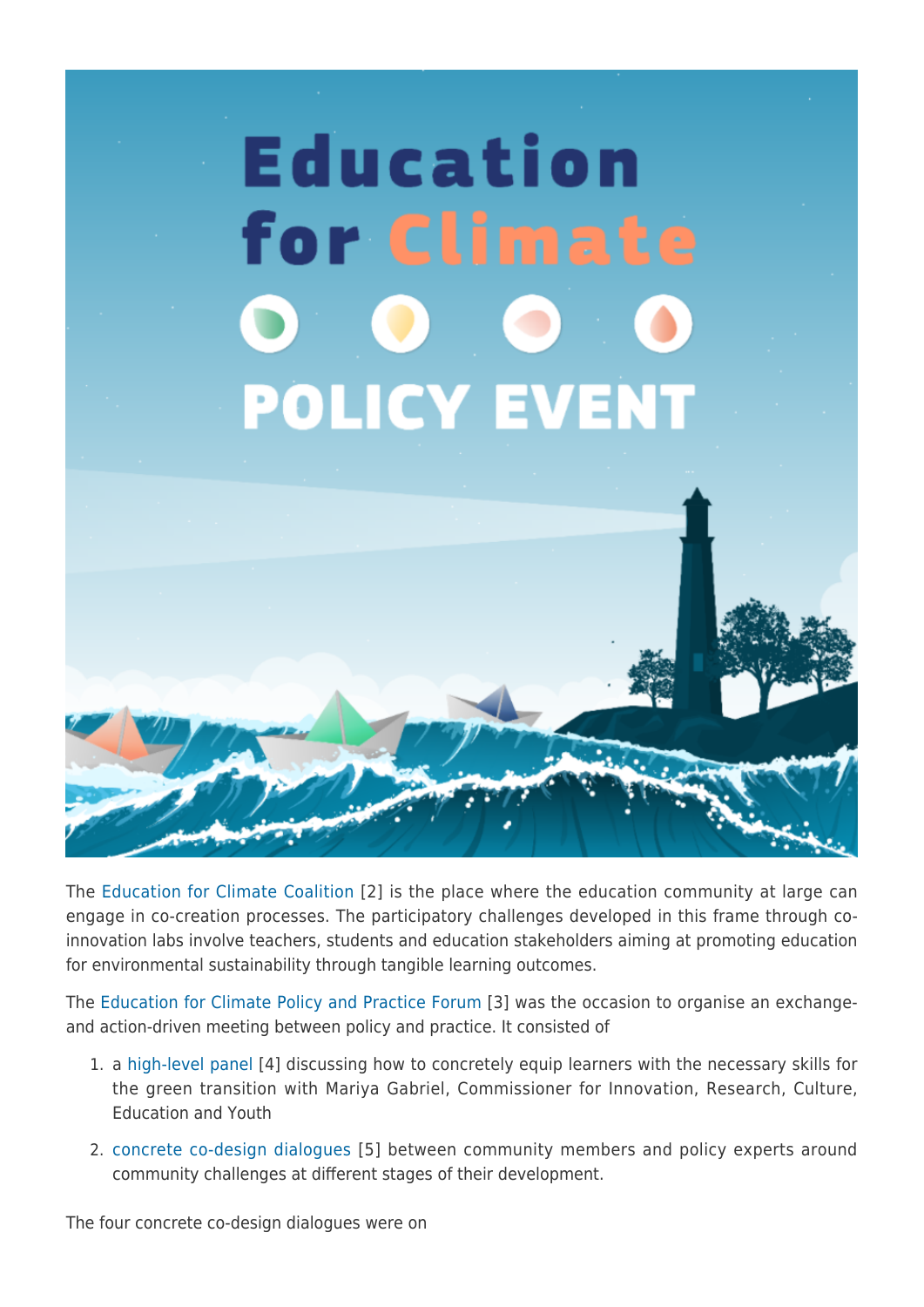

The [Education for Climate Coalition](https://education-for-climate.ec.europa.eu/_en) [2] is the place where the education community at large can engage in co-creation processes. The participatory challenges developed in this frame through coinnovation labs involve teachers, students and education stakeholders aiming at promoting education for environmental sustainability through tangible learning outcomes.

The [Education for Climate Policy and Practice Forum](https://education-for-climate.ec.europa.eu/community/policyevent/about) [3] was the occasion to organise an exchangeand action-driven meeting between policy and practice. It consisted of

- 1. a [high-level panel](https://education-for-climate.ec.europa.eu/community/policyevent/event/policy-and-practice-forum-high-level-panel-how-concretely-equip-learners) [4] discussing how to concretely equip learners with the necessary skills for the green transition with Mariya Gabriel, Commissioner for Innovation, Research, Culture, Education and Youth
- 2. [concrete co-design dialogues](https://education-for-climate.ec.europa.eu/community/search/content/co-design%20dialogue?sort_bef_combine=search_api_relevance+DESC&type=event&field_event_date_op=%3E&field_event_date%5Bvalue%5D=2022-05-04&field_event_date%5Bmin%5D=&field_event_date%5Bmax%5D=) [5] between community members and policy experts around community challenges at different stages of their development.

The four concrete co-design dialogues were on